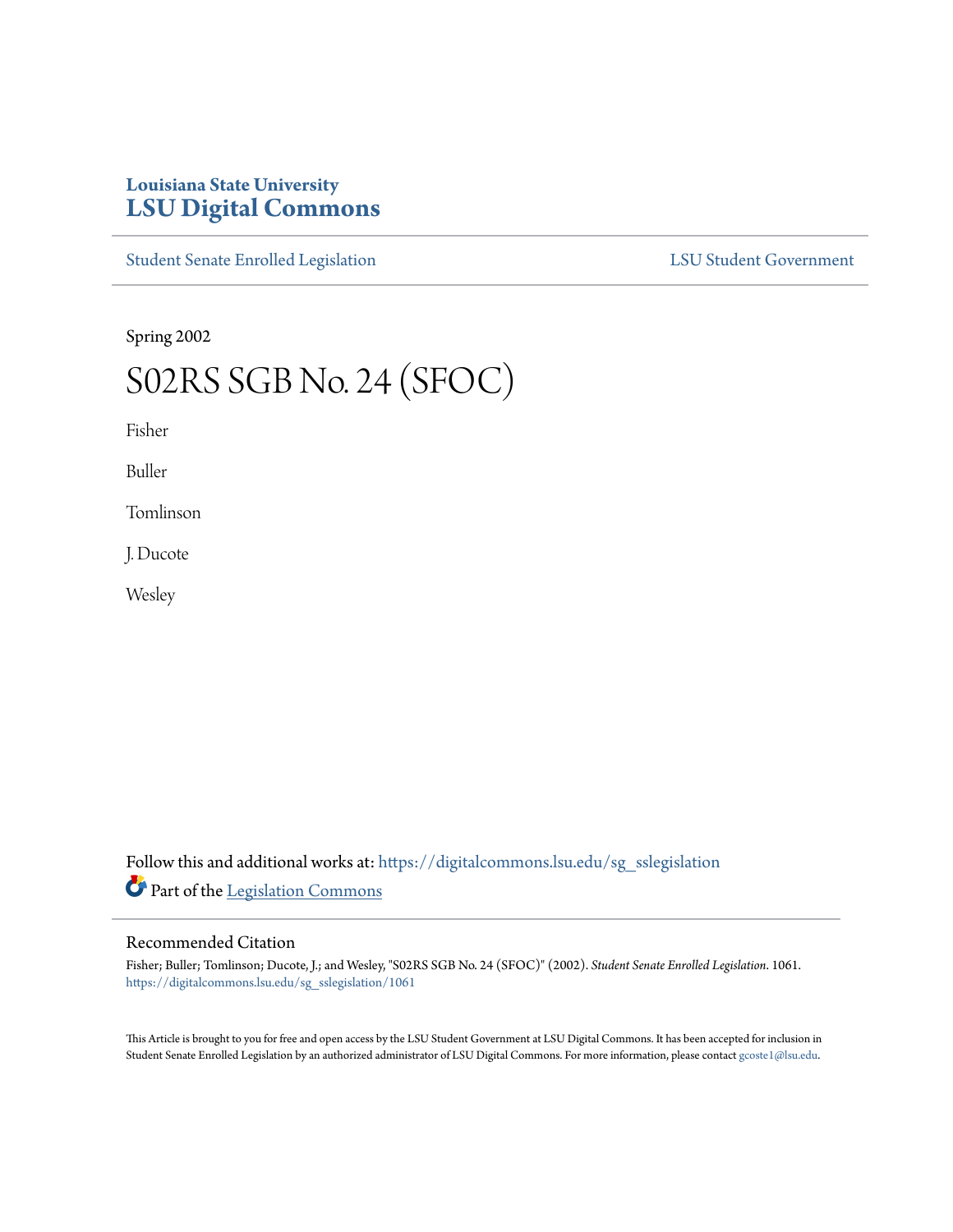# **Louisiana State University [LSU Digital Commons](https://digitalcommons.lsu.edu?utm_source=digitalcommons.lsu.edu%2Fsg_sslegislation%2F1061&utm_medium=PDF&utm_campaign=PDFCoverPages)**

[Student Senate Enrolled Legislation](https://digitalcommons.lsu.edu/sg_sslegislation?utm_source=digitalcommons.lsu.edu%2Fsg_sslegislation%2F1061&utm_medium=PDF&utm_campaign=PDFCoverPages) [LSU Student Government](https://digitalcommons.lsu.edu/sg?utm_source=digitalcommons.lsu.edu%2Fsg_sslegislation%2F1061&utm_medium=PDF&utm_campaign=PDFCoverPages)

Spring 2002

# S02RS SGB No. 24 (SFOC)

Fisher

Buller

Tomlinson

J. Ducote

Wesley

Follow this and additional works at: [https://digitalcommons.lsu.edu/sg\\_sslegislation](https://digitalcommons.lsu.edu/sg_sslegislation?utm_source=digitalcommons.lsu.edu%2Fsg_sslegislation%2F1061&utm_medium=PDF&utm_campaign=PDFCoverPages) Part of the [Legislation Commons](http://network.bepress.com/hgg/discipline/859?utm_source=digitalcommons.lsu.edu%2Fsg_sslegislation%2F1061&utm_medium=PDF&utm_campaign=PDFCoverPages)

### Recommended Citation

Fisher; Buller; Tomlinson; Ducote, J.; and Wesley, "S02RS SGB No. 24 (SFOC)" (2002). *Student Senate Enrolled Legislation*. 1061. [https://digitalcommons.lsu.edu/sg\\_sslegislation/1061](https://digitalcommons.lsu.edu/sg_sslegislation/1061?utm_source=digitalcommons.lsu.edu%2Fsg_sslegislation%2F1061&utm_medium=PDF&utm_campaign=PDFCoverPages)

This Article is brought to you for free and open access by the LSU Student Government at LSU Digital Commons. It has been accepted for inclusion in Student Senate Enrolled Legislation by an authorized administrator of LSU Digital Commons. For more information, please contact [gcoste1@lsu.edu.](mailto:gcoste1@lsu.edu)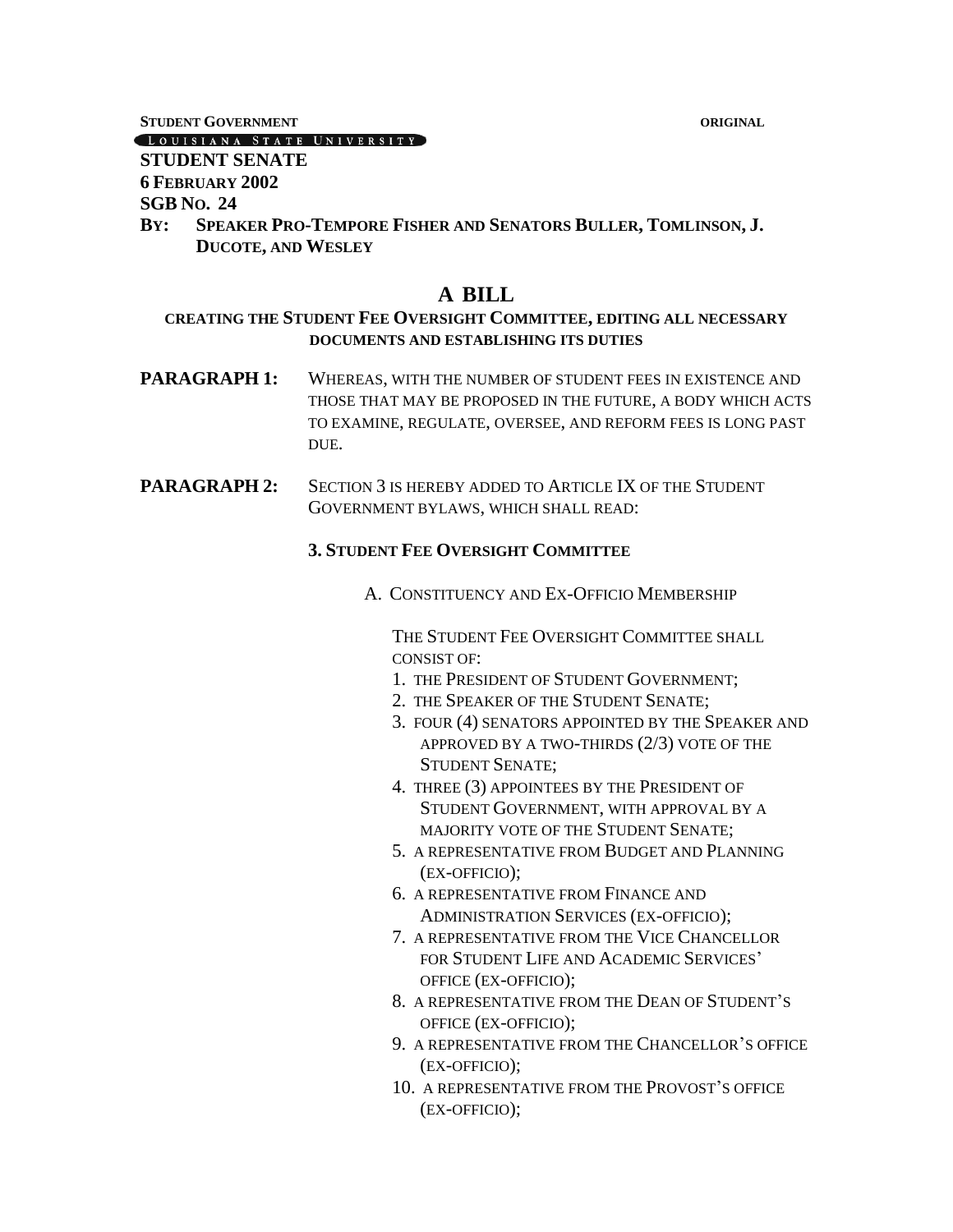**STUDENT GOVERNMENT ORIGINAL**

#### LOUISIANA STATE UNIVERSITY

# **STUDENT SENATE**

**6 FEBRUARY 2002**

## **SGB NO. 24**

**BY: SPEAKER PRO-TEMPORE FISHER AND SENATORS BULLER, TOMLINSON, J. DUCOTE, AND WESLEY**

# **A BILL**

# **CREATING THE STUDENT FEE OVERSIGHT COMMITTEE, EDITING ALL NECESSARY DOCUMENTS AND ESTABLISHING ITS DUTIES**

- **PARAGRAPH 1:** WHEREAS, WITH THE NUMBER OF STUDENT FEES IN EXISTENCE AND THOSE THAT MAY BE PROPOSED IN THE FUTURE, A BODY WHICH ACTS TO EXAMINE, REGULATE, OVERSEE, AND REFORM FEES IS LONG PAST DUE.
- **PARAGRAPH 2:** SECTION 3 IS HEREBY ADDED TO ARTICLE IX OF THE STUDENT GOVERNMENT BYLAWS, WHICH SHALL READ:

# **3. STUDENT FEE OVERSIGHT COMMITTEE**

A. CONSTITUENCY AND EX-OFFICIO MEMBERSHIP

THE STUDENT FEE OVERSIGHT COMMITTEE SHALL CONSIST OF:

- 1. THE PRESIDENT OF STUDENT GOVERNMENT;
- 2. THE SPEAKER OF THE STUDENT SENATE;
- 3. FOUR (4) SENATORS APPOINTED BY THE SPEAKER AND APPROVED BY A TWO-THIRDS (2/3) VOTE OF THE STUDENT SENATE;
- 4. THREE (3) APPOINTEES BY THE PRESIDENT OF STUDENT GOVERNMENT, WITH APPROVAL BY A MAJORITY VOTE OF THE STUDENT SENATE;
- 5. A REPRESENTATIVE FROM BUDGET AND PLANNING (EX-OFFICIO);
- 6. A REPRESENTATIVE FROM FINANCE AND ADMINISTRATION SERVICES (EX-OFFICIO);
- 7. A REPRESENTATIVE FROM THE VICE CHANCELLOR FOR STUDENT LIFE AND ACADEMIC SERVICES' OFFICE (EX-OFFICIO);
- 8. A REPRESENTATIVE FROM THE DEAN OF STUDENT'S OFFICE (EX-OFFICIO);
- 9. A REPRESENTATIVE FROM THE CHANCELLOR'S OFFICE (EX-OFFICIO);
- 10. A REPRESENTATIVE FROM THE PROVOST'S OFFICE (EX-OFFICIO);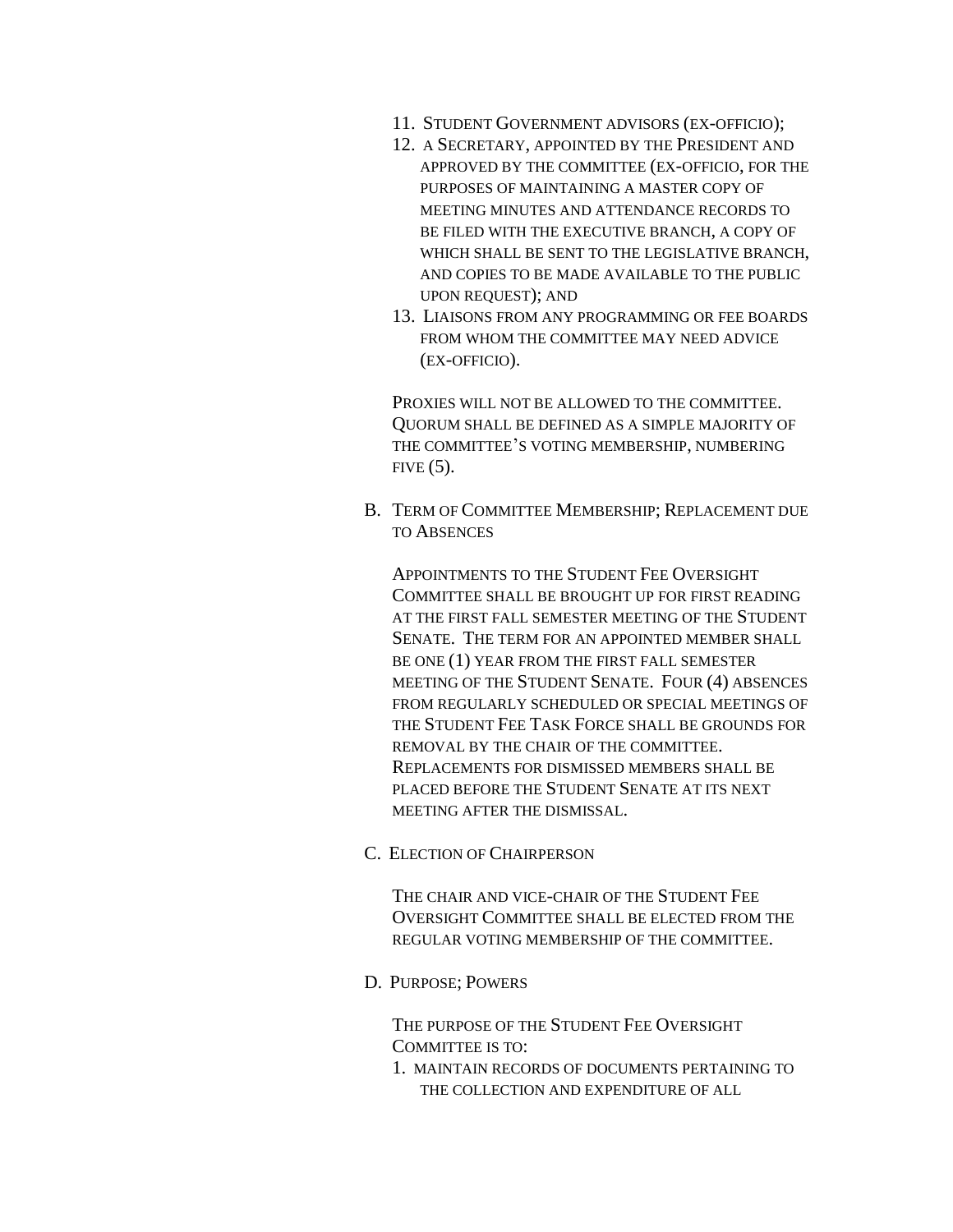- 11. STUDENT GOVERNMENT ADVISORS (EX-OFFICIO);
- 12. A SECRETARY, APPOINTED BY THE PRESIDENT AND APPROVED BY THE COMMITTEE (EX-OFFICIO, FOR THE PURPOSES OF MAINTAINING A MASTER COPY OF MEETING MINUTES AND ATTENDANCE RECORDS TO BE FILED WITH THE EXECUTIVE BRANCH, A COPY OF WHICH SHALL BE SENT TO THE LEGISLATIVE BRANCH, AND COPIES TO BE MADE AVAILABLE TO THE PUBLIC UPON REQUEST); AND
- 13. LIAISONS FROM ANY PROGRAMMING OR FEE BOARDS FROM WHOM THE COMMITTEE MAY NEED ADVICE (EX-OFFICIO).

PROXIES WILL NOT BE ALLOWED TO THE COMMITTEE. QUORUM SHALL BE DEFINED AS A SIMPLE MAJORITY OF THE COMMITTEE'S VOTING MEMBERSHIP, NUMBERING  $FIVE (5)$ .

B. TERM OF COMMITTEE MEMBERSHIP; REPLACEMENT DUE TO ABSENCES

APPOINTMENTS TO THE STUDENT FEE OVERSIGHT COMMITTEE SHALL BE BROUGHT UP FOR FIRST READING AT THE FIRST FALL SEMESTER MEETING OF THE STUDENT SENATE. THE TERM FOR AN APPOINTED MEMBER SHALL BE ONE (1) YEAR FROM THE FIRST FALL SEMESTER MEETING OF THE STUDENT SENATE. FOUR (4) ABSENCES FROM REGULARLY SCHEDULED OR SPECIAL MEETINGS OF THE STUDENT FEE TASK FORCE SHALL BE GROUNDS FOR REMOVAL BY THE CHAIR OF THE COMMITTEE. REPLACEMENTS FOR DISMISSED MEMBERS SHALL BE PLACED BEFORE THE STUDENT SENATE AT ITS NEXT MEETING AFTER THE DISMISSAL.

C. ELECTION OF CHAIRPERSON

THE CHAIR AND VICE-CHAIR OF THE STUDENT FEE OVERSIGHT COMMITTEE SHALL BE ELECTED FROM THE REGULAR VOTING MEMBERSHIP OF THE COMMITTEE.

D. PURPOSE; POWERS

THE PURPOSE OF THE STUDENT FEE OVERSIGHT COMMITTEE IS TO:

1. MAINTAIN RECORDS OF DOCUMENTS PERTAINING TO THE COLLECTION AND EXPENDITURE OF ALL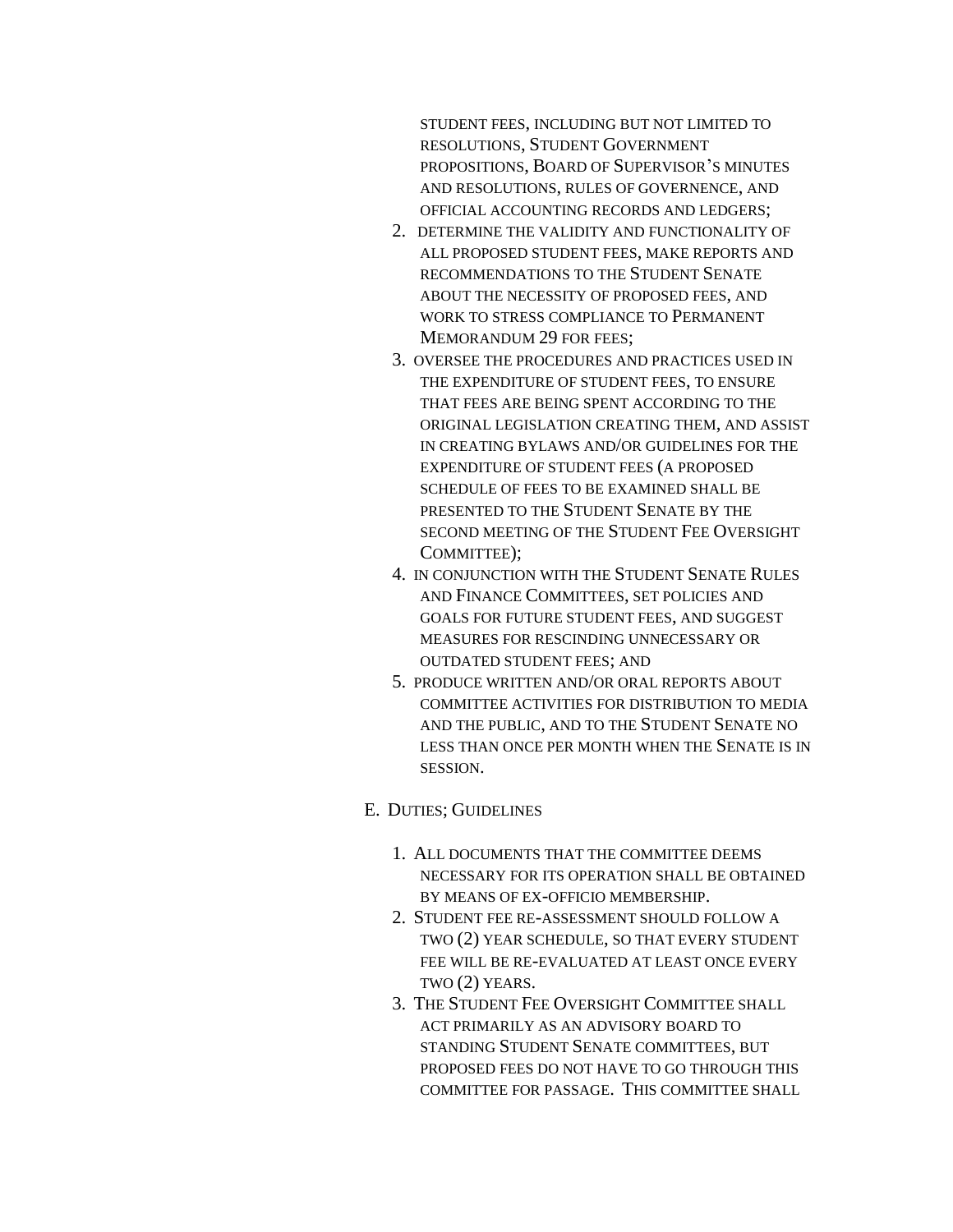STUDENT FEES, INCLUDING BUT NOT LIMITED TO RESOLUTIONS, STUDENT GOVERNMENT PROPOSITIONS, BOARD OF SUPERVISOR'S MINUTES AND RESOLUTIONS, RULES OF GOVERNENCE, AND OFFICIAL ACCOUNTING RECORDS AND LEDGERS;

- 2. DETERMINE THE VALIDITY AND FUNCTIONALITY OF ALL PROPOSED STUDENT FEES, MAKE REPORTS AND RECOMMENDATIONS TO THE STUDENT SENATE ABOUT THE NECESSITY OF PROPOSED FEES, AND WORK TO STRESS COMPLIANCE TO PERMANENT MEMORANDUM 29 FOR FEES;
- 3. OVERSEE THE PROCEDURES AND PRACTICES USED IN THE EXPENDITURE OF STUDENT FEES, TO ENSURE THAT FEES ARE BEING SPENT ACCORDING TO THE ORIGINAL LEGISLATION CREATING THEM, AND ASSIST IN CREATING BYLAWS AND/OR GUIDELINES FOR THE EXPENDITURE OF STUDENT FEES (A PROPOSED SCHEDULE OF FEES TO BE EXAMINED SHALL BE PRESENTED TO THE STUDENT SENATE BY THE SECOND MEETING OF THE STUDENT FEE OVERSIGHT COMMITTEE);
- 4. IN CONJUNCTION WITH THE STUDENT SENATE RULES AND FINANCE COMMITTEES, SET POLICIES AND GOALS FOR FUTURE STUDENT FEES, AND SUGGEST MEASURES FOR RESCINDING UNNECESSARY OR OUTDATED STUDENT FEES; AND
- 5. PRODUCE WRITTEN AND/OR ORAL REPORTS ABOUT COMMITTEE ACTIVITIES FOR DISTRIBUTION TO MEDIA AND THE PUBLIC, AND TO THE STUDENT SENATE NO LESS THAN ONCE PER MONTH WHEN THE SENATE IS IN SESSION.

#### E. DUTIES; GUIDELINES

- 1. ALL DOCUMENTS THAT THE COMMITTEE DEEMS NECESSARY FOR ITS OPERATION SHALL BE OBTAINED BY MEANS OF EX-OFFICIO MEMBERSHIP.
- 2. STUDENT FEE RE-ASSESSMENT SHOULD FOLLOW A TWO (2) YEAR SCHEDULE, SO THAT EVERY STUDENT FEE WILL BE RE-EVALUATED AT LEAST ONCE EVERY TWO (2) YEARS.
- 3. THE STUDENT FEE OVERSIGHT COMMITTEE SHALL ACT PRIMARILY AS AN ADVISORY BOARD TO STANDING STUDENT SENATE COMMITTEES, BUT PROPOSED FEES DO NOT HAVE TO GO THROUGH THIS COMMITTEE FOR PASSAGE. THIS COMMITTEE SHALL